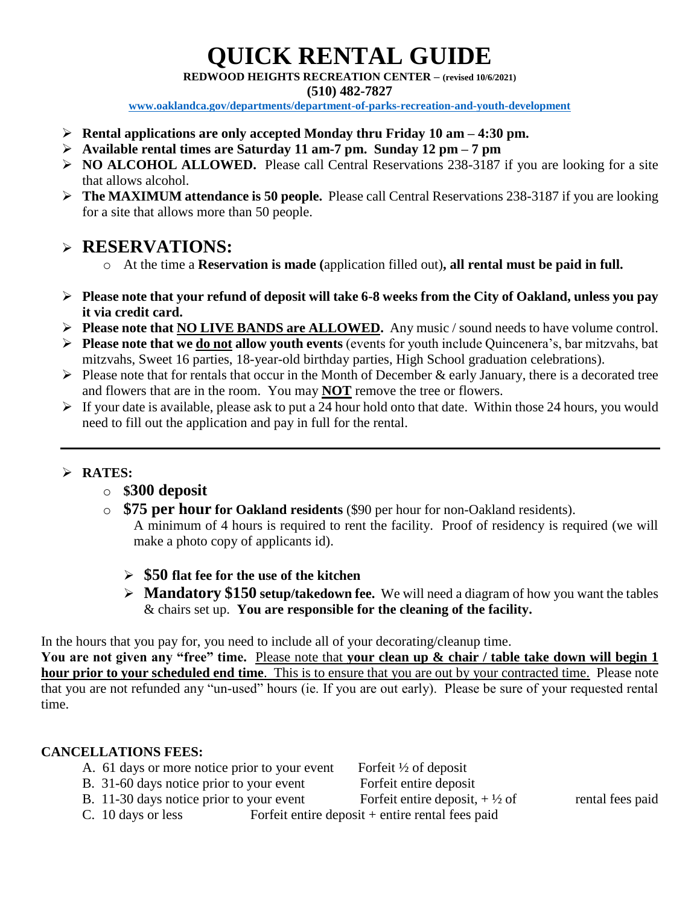# **QUICK RENTAL GUIDE**

**REDWOOD HEIGHTS RECREATION CENTER – (revised 10/6/2021)**

**(510) 482-7827**

**[www.oaklandca.gov/departments/department-of-parks-recreation-and-youth-development](http://www.oaklandca.gov/departments/department-of-parks-recreation-and-youth-development)**

- **Rental applications are only accepted Monday thru Friday 10 am – 4:30 pm.**
- **Available rental times are Saturday 11 am-7 pm. Sunday 12 pm – 7 pm**
- **NO ALCOHOL ALLOWED.** Please call Central Reservations 238-3187 if you are looking for a site that allows alcohol.
- **The MAXIMUM attendance is 50 people.** Please call Central Reservations 238-3187 if you are looking for a site that allows more than 50 people.

### **RESERVATIONS:**

- o At the time a **Reservation is made (**application filled out)**, all rental must be paid in full.**
- **Please note that your refund of deposit will take 6-8 weeks from the City of Oakland, unless you pay it via credit card.**
- **Please note that NO LIVE BANDS are ALLOWED.** Any music / sound needs to have volume control.
- **Please note that we do not allow youth events** (events for youth include Quincenera's, bar mitzvahs, bat mitzvahs, Sweet 16 parties, 18-year-old birthday parties, High School graduation celebrations).
- $\triangleright$  Please note that for rentals that occur in the Month of December & early January, there is a decorated tree and flowers that are in the room. You may **NOT** remove the tree or flowers.
- $\triangleright$  If your date is available, please ask to put a 24 hour hold onto that date. Within those 24 hours, you would need to fill out the application and pay in full for the rental.

#### **RATES:**

- o **\$300 deposit**
- o **\$75 per hour for Oakland residents** (\$90 per hour for non-Oakland residents). A minimum of 4 hours is required to rent the facility. Proof of residency is required (we will make a photo copy of applicants id).
	- **\$50 flat fee for the use of the kitchen**
	- **Mandatory \$150 setup/takedown fee.** We will need a diagram of how you want the tables & chairs set up. **You are responsible for the cleaning of the facility.**

In the hours that you pay for, you need to include all of your decorating/cleanup time.

**You are not given any "free" time.** Please note that **your clean up & chair / table take down will begin 1 hour prior to your scheduled end time**. This is to ensure that you are out by your contracted time. Please note that you are not refunded any "un-used" hours (ie. If you are out early). Please be sure of your requested rental time.

#### **CANCELLATIONS FEES:**

- A. 61 days or more notice prior to your event Forfeit  $\frac{1}{2}$  of deposit
- B. 31-60 days notice prior to your event Forfeit entire deposit

B. 11-30 days notice prior to your event Forfeit entire deposit,  $+\frac{1}{2}$  of rental fees paid

C. 10 days or less Forfeit entire deposit + entire rental fees paid